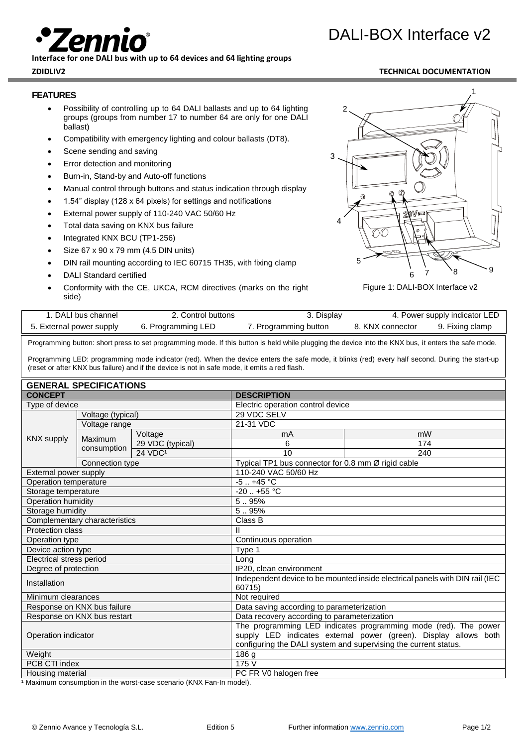**Interface for one DALI bus with up to 64 devices and 64 lighting groups**

### **FEATURES**

- Possibility of controlling up to 64 DALI ballasts and up to 64 lighting groups (groups from number 17 to number 64 are only for one DALI ballast)
- Compatibility with emergency lighting and colour ballasts (DT8).
- Scene sending and saving
- Error detection and monitoring
- Burn-in, Stand-by and Auto-off functions
- Manual control through buttons and status indication through display
- 1.54" display (128 x 64 pixels) for settings and notifications
- External power supply of 110-240 VAC 50/60 Hz
- Total data saving on KNX bus failure
- Integrated KNX BCU (TP1-256)
- Size 67 x 90 x 79 mm (4.5 DIN units)
- DIN rail mounting according to IEC 60715 TH35, with fixing clamp
- 
- side)

# 1  $\mathfrak{p}$ 4 a VC.

3

5



8 9

6

| . DALI bus channel       | 2. Control buttons | 3. Display            |                  | 4. Power supply indicator LED |
|--------------------------|--------------------|-----------------------|------------------|-------------------------------|
| 5. External power supply | 6. Programming LED | 7. Programming button | 8. KNX connector | 9. Fixing clamp               |

Programming button: short press to set programming mode. If this button is held while plugging the device into the KNX bus, it enters the safe mode.

Programming LED: programming mode indicator (red). When the device enters the safe mode, it blinks (red) every half second. During the start-up (reset or after KNX bus failure) and if the device is not in safe mode, it emits a red flash.

| <b>GENERAL SPECIFICATIONS</b>        |                   |                                                                                                                                                                                                        |                                                    |               |  |
|--------------------------------------|-------------------|--------------------------------------------------------------------------------------------------------------------------------------------------------------------------------------------------------|----------------------------------------------------|---------------|--|
| <b>CONCEPT</b>                       |                   | <b>DESCRIPTION</b>                                                                                                                                                                                     |                                                    |               |  |
| Type of device                       |                   |                                                                                                                                                                                                        | Electric operation control device                  |               |  |
|                                      | Voltage (typical) |                                                                                                                                                                                                        | 29 VDC SELV                                        |               |  |
| KNX supply<br>Maximum<br>consumption | Voltage range     |                                                                                                                                                                                                        | 21-31 VDC                                          |               |  |
|                                      |                   | Voltage                                                                                                                                                                                                | mA                                                 | mW            |  |
|                                      |                   | 29 VDC (typical)                                                                                                                                                                                       | 6                                                  | 174           |  |
|                                      |                   | 24 VDC <sup>1</sup>                                                                                                                                                                                    | 10                                                 | 240           |  |
|                                      | Connection type   |                                                                                                                                                                                                        | Typical TP1 bus connector for 0.8 mm Ø rigid cable |               |  |
| External power supply                |                   | 110-240 VAC 50/60 Hz                                                                                                                                                                                   |                                                    |               |  |
| Operation temperature                |                   |                                                                                                                                                                                                        |                                                    | $-5$ $+45$ °C |  |
| Storage temperature                  |                   | $-20$ $+55$ °C                                                                                                                                                                                         |                                                    |               |  |
| Operation humidity                   |                   | 5.95%                                                                                                                                                                                                  |                                                    |               |  |
| Storage humidity                     |                   | 5.95%                                                                                                                                                                                                  |                                                    |               |  |
| Complementary characteristics        |                   | Class B                                                                                                                                                                                                |                                                    |               |  |
| <b>Protection class</b>              |                   | Ш                                                                                                                                                                                                      |                                                    |               |  |
| Operation type                       |                   | Continuous operation                                                                                                                                                                                   |                                                    |               |  |
| Device action type                   |                   | Type 1                                                                                                                                                                                                 |                                                    |               |  |
| Electrical stress period             |                   | Long                                                                                                                                                                                                   |                                                    |               |  |
| Degree of protection                 |                   | IP20, clean environment                                                                                                                                                                                |                                                    |               |  |
| Installation                         |                   | Independent device to be mounted inside electrical panels with DIN rail (IEC<br>60715)                                                                                                                 |                                                    |               |  |
| Minimum clearances                   |                   | Not required                                                                                                                                                                                           |                                                    |               |  |
| Response on KNX bus failure          |                   | Data saving according to parameterization                                                                                                                                                              |                                                    |               |  |
| Response on KNX bus restart          |                   | Data recovery according to parameterization                                                                                                                                                            |                                                    |               |  |
| Operation indicator                  |                   | The programming LED indicates programming mode (red). The power<br>supply LED indicates external power (green). Display allows both<br>configuring the DALI system and supervising the current status. |                                                    |               |  |
| Weight                               |                   | 186 g                                                                                                                                                                                                  |                                                    |               |  |
| PCB CTI index                        |                   | 175 V                                                                                                                                                                                                  |                                                    |               |  |
| Housing material                     |                   | PC FR V0 halogen free                                                                                                                                                                                  |                                                    |               |  |

1 Maximum consumption in the worst-case scenario (KNX Fan-In model).

- 
- 
- 
- DALI Standard certified
- Conformity with the CE, UKCA, RCM directives (marks on the right

## DALI-BOX Interface v2

## **ZDIDLIV2 TECHNICAL DOCUMENTATION**